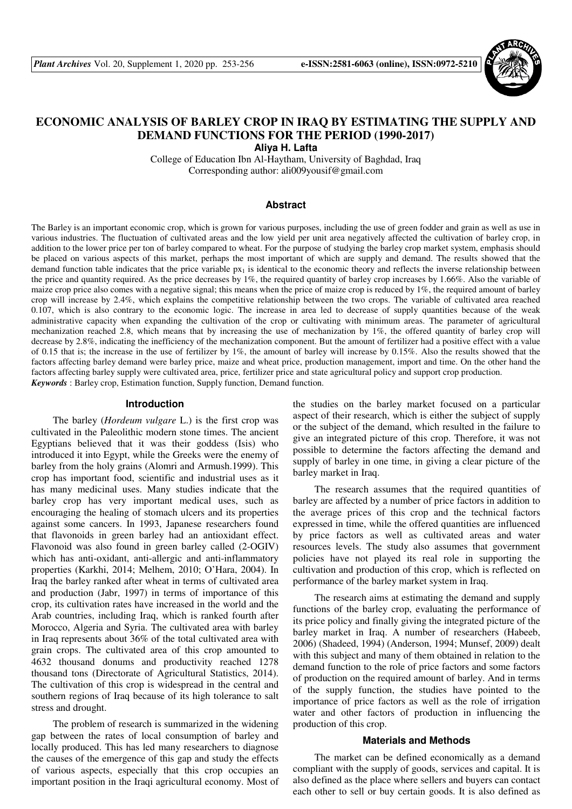

# **ECONOMIC ANALYSIS OF BARLEY CROP IN IRAQ BY ESTIMATING THE SUPPLY AND DEMAND FUNCTIONS FOR THE PERIOD (1990-2017) Aliya H. Lafta**

College of Education Ibn Al-Haytham, University of Baghdad, Iraq Corresponding author: ali009yousif@gmail.com

#### **Abstract**

The Barley is an important economic crop, which is grown for various purposes, including the use of green fodder and grain as well as use in various industries. The fluctuation of cultivated areas and the low yield per unit area negatively affected the cultivation of barley crop, in addition to the lower price per ton of barley compared to wheat. For the purpose of studying the barley crop market system, emphasis should be placed on various aspects of this market, perhaps the most important of which are supply and demand. The results showed that the demand function table indicates that the price variable  $px<sub>1</sub>$  is identical to the economic theory and reflects the inverse relationship between the price and quantity required. As the price decreases by 1%, the required quantity of barley crop increases by 1.66%. Also the variable of maize crop price also comes with a negative signal; this means when the price of maize crop is reduced by 1%, the required amount of barley crop will increase by 2.4%, which explains the competitive relationship between the two crops. The variable of cultivated area reached 0.107, which is also contrary to the economic logic. The increase in area led to decrease of supply quantities because of the weak administrative capacity when expanding the cultivation of the crop or cultivating with minimum areas. The parameter of agricultural mechanization reached 2.8, which means that by increasing the use of mechanization by 1%, the offered quantity of barley crop will decrease by 2.8%, indicating the inefficiency of the mechanization component. But the amount of fertilizer had a positive effect with a value of 0.15 that is; the increase in the use of fertilizer by 1%, the amount of barley will increase by 0.15%. Also the results showed that the factors affecting barley demand were barley price, maize and wheat price, production management, import and time. On the other hand the factors affecting barley supply were cultivated area, price, fertilizer price and state agricultural policy and support crop production. *Keywords* : Barley crop, Estimation function, Supply function, Demand function.

#### **Introduction**

The barley (*Hordeum vulgare* L.) is the first crop was cultivated in the Paleolithic modern stone times. The ancient Egyptians believed that it was their goddess (Isis) who introduced it into Egypt, while the Greeks were the enemy of barley from the holy grains (Alomri and Armush.1999). This crop has important food, scientific and industrial uses as it has many medicinal uses. Many studies indicate that the barley crop has very important medical uses, such as encouraging the healing of stomach ulcers and its properties against some cancers. In 1993, Japanese researchers found that flavonoids in green barley had an antioxidant effect. Flavonoid was also found in green barley called (2-OGIV) which has anti-oxidant, anti-allergic and anti-inflammatory properties (Karkhi, 2014; Melhem, 2010; O'Hara, 2004). In Iraq the barley ranked after wheat in terms of cultivated area and production (Jabr, 1997) in terms of importance of this crop, its cultivation rates have increased in the world and the Arab countries, including Iraq, which is ranked fourth after Morocco, Algeria and Syria. The cultivated area with barley in Iraq represents about 36% of the total cultivated area with grain crops. The cultivated area of this crop amounted to 4632 thousand donums and productivity reached 1278 thousand tons (Directorate of Agricultural Statistics, 2014). The cultivation of this crop is widespread in the central and southern regions of Iraq because of its high tolerance to salt stress and drought.

The problem of research is summarized in the widening gap between the rates of local consumption of barley and locally produced. This has led many researchers to diagnose the causes of the emergence of this gap and study the effects of various aspects, especially that this crop occupies an important position in the Iraqi agricultural economy. Most of the studies on the barley market focused on a particular aspect of their research, which is either the subject of supply or the subject of the demand, which resulted in the failure to give an integrated picture of this crop. Therefore, it was not possible to determine the factors affecting the demand and supply of barley in one time, in giving a clear picture of the barley market in Iraq.

The research assumes that the required quantities of barley are affected by a number of price factors in addition to the average prices of this crop and the technical factors expressed in time, while the offered quantities are influenced by price factors as well as cultivated areas and water resources levels. The study also assumes that government policies have not played its real role in supporting the cultivation and production of this crop, which is reflected on performance of the barley market system in Iraq.

The research aims at estimating the demand and supply functions of the barley crop, evaluating the performance of its price policy and finally giving the integrated picture of the barley market in Iraq. A number of researchers (Habeeb, 2006) (Shadeed, 1994) (Anderson, 1994; Munsef, 2009) dealt with this subject and many of them obtained in relation to the demand function to the role of price factors and some factors of production on the required amount of barley. And in terms of the supply function, the studies have pointed to the importance of price factors as well as the role of irrigation water and other factors of production in influencing the production of this crop.

#### **Materials and Methods**

The market can be defined economically as a demand compliant with the supply of goods, services and capital. It is also defined as the place where sellers and buyers can contact each other to sell or buy certain goods. It is also defined as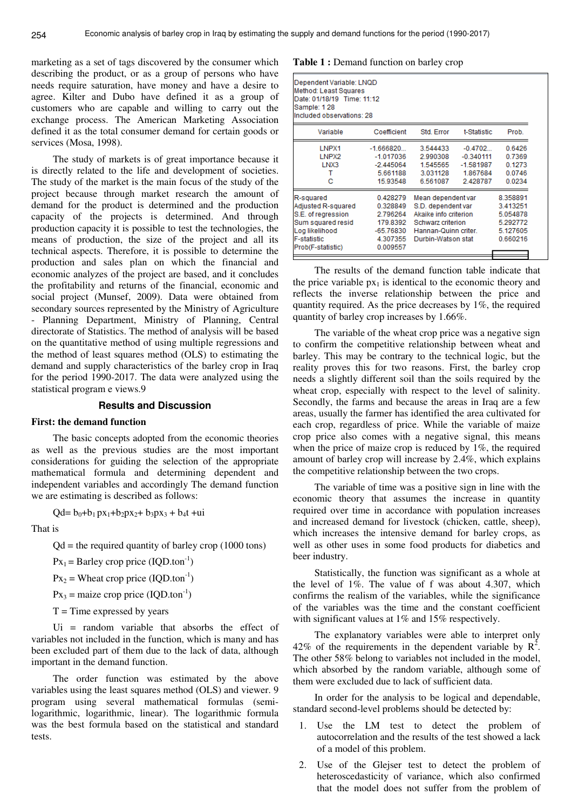marketing as a set of tags discovered by the consumer which describing the product, or as a group of persons who have needs require saturation, have money and have a desire to agree. Kilter and Dubo have defined it as a group of customers who are capable and willing to carry out the exchange process. The American Marketing Association defined it as the total consumer demand for certain goods or services (Mosa, 1998).

The study of markets is of great importance because it is directly related to the life and development of societies. The study of the market is the main focus of the study of the project because through market research the amount of demand for the product is determined and the production capacity of the projects is determined. And through production capacity it is possible to test the technologies, the means of production, the size of the project and all its technical aspects. Therefore, it is possible to determine the production and sales plan on which the financial and economic analyzes of the project are based, and it concludes the profitability and returns of the financial, economic and social project (Munsef, 2009). Data were obtained from secondary sources represented by the Ministry of Agriculture - Planning Department, Ministry of Planning, Central directorate of Statistics. The method of analysis will be based on the quantitative method of using multiple regressions and the method of least squares method (OLS) to estimating the demand and supply characteristics of the barley crop in Iraq for the period 1990-2017. The data were analyzed using the statistical program e views.9

## **Results and Discussion**

#### **First: the demand function**

The basic concepts adopted from the economic theories as well as the previous studies are the most important considerations for guiding the selection of the appropriate mathematical formula and determining dependent and independent variables and accordingly The demand function we are estimating is described as follows:

 $Qd = b_0 + b_1 px_1 + b_2px_2 + b_3px_3 + b_4t +ui$ 

That is

 $Qd$  = the required quantity of barley crop (1000 tons)

 $Px_1 = Barley$  crop price (IQD.ton<sup>-1</sup>)

 $Px_2$  = Wheat crop price (IQD.ton<sup>-1</sup>)

 $Px_3$  = maize crop price (IQD.ton<sup>-1</sup>)

 $T =$ Time expressed by years

Ui = random variable that absorbs the effect of variables not included in the function, which is many and has been excluded part of them due to the lack of data, although important in the demand function.

The order function was estimated by the above variables using the least squares method (OLS) and viewer. 9 program using several mathematical formulas (semilogarithmic, logarithmic, linear). The logarithmic formula was the best formula based on the statistical and standard tests.

#### **Table 1 :** Demand function on barley crop

| Variable<br>LNPX1  | Coefficient |                       |             |          |
|--------------------|-------------|-----------------------|-------------|----------|
|                    |             | Std. Error            | t-Statistic | Prob.    |
|                    | $-1.666820$ | 3.544433<br>$-0.4702$ |             | 0.6426   |
| LNPX2              | $-1.017036$ | 2.990308              | $-0.340111$ | 0.7369   |
| LNX3               | $-2.445064$ | 1.545565              | $-1.581987$ | 0.1273   |
| т                  | 5.661188    | 3.031128              | 1.867684    | 0.0746   |
| с                  | 15.93548    | 6.561087              | 2.428787    | 0.0234   |
| R-squared          | 0.428279    | Mean dependent var    |             | 8.358891 |
| Adjusted R-squared | 0.328849    | S.D. dependent var    |             | 3.413251 |
| S.E. of regression | 2.796264    | Akaike info criterion |             | 5.054878 |
| Sum squared resid  | 179.8392    | Schwarz criterion     |             | 5.292772 |
| Log likelihood     | $-65.76830$ | Hannan-Quinn criter.  |             | 5.127605 |
| <b>F-statistic</b> | 4.307355    | Durbin-Watson stat    |             | 0.660216 |
| Prob(F-statistic)  | 0.009557    |                       |             |          |

The results of the demand function table indicate that the price variable  $px_1$  is identical to the economic theory and reflects the inverse relationship between the price and quantity required. As the price decreases by 1%, the required quantity of barley crop increases by 1.66%.

The variable of the wheat crop price was a negative sign to confirm the competitive relationship between wheat and barley. This may be contrary to the technical logic, but the reality proves this for two reasons. First, the barley crop needs a slightly different soil than the soils required by the wheat crop, especially with respect to the level of salinity. Secondly, the farms and because the areas in Iraq are a few areas, usually the farmer has identified the area cultivated for each crop, regardless of price. While the variable of maize crop price also comes with a negative signal, this means when the price of maize crop is reduced by 1%, the required amount of barley crop will increase by 2.4%, which explains the competitive relationship between the two crops.

The variable of time was a positive sign in line with the economic theory that assumes the increase in quantity required over time in accordance with population increases and increased demand for livestock (chicken, cattle, sheep), which increases the intensive demand for barley crops, as well as other uses in some food products for diabetics and beer industry.

Statistically, the function was significant as a whole at the level of 1%. The value of f was about 4.307, which confirms the realism of the variables, while the significance of the variables was the time and the constant coefficient with significant values at 1% and 15% respectively.

The explanatory variables were able to interpret only 42% of the requirements in the dependent variable by  $\mathbb{R}^2$ . The other 58% belong to variables not included in the model, which absorbed by the random variable, although some of them were excluded due to lack of sufficient data.

In order for the analysis to be logical and dependable, standard second-level problems should be detected by:

- 1. Use the LM test to detect the problem of autocorrelation and the results of the test showed a lack of a model of this problem.
- 2. Use of the Glejser test to detect the problem of heteroscedasticity of variance, which also confirmed that the model does not suffer from the problem of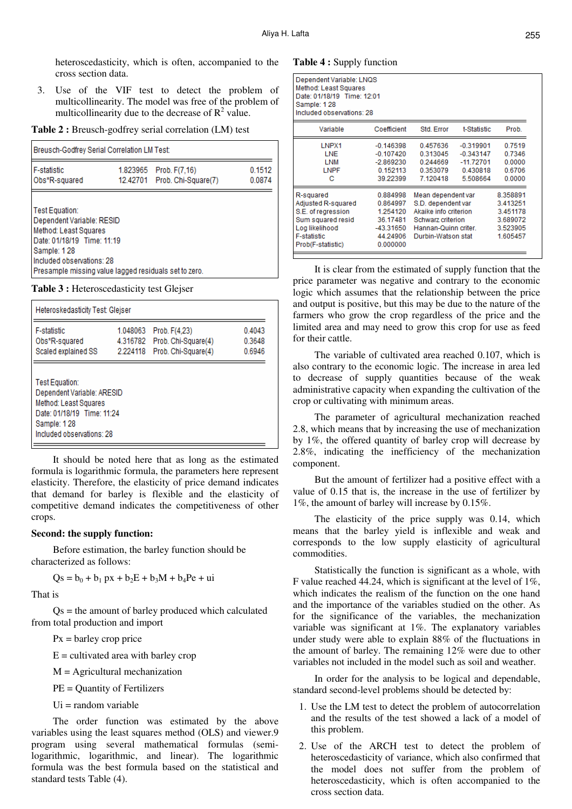heteroscedasticity, which is often, accompanied to the cross section data.

3. Use of the VIF test to detect the problem of multicollinearity. The model was free of the problem of multicollinearity due to the decrease of  $\mathbb{R}^2$  value.

**Table 2 :** Breusch-godfrey serial correlation (LM) test

| Breusch-Godfrey Serial Correlation LM Test:                                                                                                                                                             |  |                                                        |                  |  |  |
|---------------------------------------------------------------------------------------------------------------------------------------------------------------------------------------------------------|--|--------------------------------------------------------|------------------|--|--|
| F-statistic<br>Obs*R-squared                                                                                                                                                                            |  | 1.823965 Prob. F(7,16)<br>12.42701 Prob. Chi-Square(7) | 0.1512<br>0.0874 |  |  |
| Test Equation:<br>Dependent Variable: RESID<br>Method: Least Squares<br>Date: 01/18/19 Time: 11:19<br>Sample: 128<br>Included observations: 28<br>Presample missing value lagged residuals set to zero. |  |                                                        |                  |  |  |

**Table 3 :** Heteroscedasticity test Glejser

| Heteroskedasticity Test: Glejser                                                                                                                |                                  |                                                             |                            |  |  |  |
|-------------------------------------------------------------------------------------------------------------------------------------------------|----------------------------------|-------------------------------------------------------------|----------------------------|--|--|--|
| <b>F-statistic</b><br>Obs*R-squared<br>Scaled explained SS                                                                                      | 1.048063<br>4.316782<br>2.224118 | Prob. F(4.23)<br>Prob. Chi-Square(4)<br>Prob. Chi-Square(4) | 0.4043<br>0.3648<br>0.6946 |  |  |  |
| Test Equation:<br>Dependent Variable: ARESID<br>Method: Least Squares<br>Date: 01/18/19 Time: 11:24<br>Sample: 128<br>Included observations: 28 |                                  |                                                             |                            |  |  |  |

It should be noted here that as long as the estimated formula is logarithmic formula, the parameters here represent elasticity. Therefore, the elasticity of price demand indicates that demand for barley is flexible and the elasticity of competitive demand indicates the competitiveness of other crops.

### **Second: the supply function:**

Before estimation, the barley function should be characterized as follows:

 $Qs = b_0 + b_1 px + b_2E + b_3M + b_4Pe + ui$ 

That is

 $Qs$  = the amount of barley produced which calculated from total production and import

 $Px =$  barley crop price

 $E =$  cultivated area with barley crop

 $M =$  Agricultural mechanization

PE = Quantity of Fertilizers

 $Ui = random variable$ 

The order function was estimated by the above variables using the least squares method (OLS) and viewer.9 program using several mathematical formulas (semilogarithmic, logarithmic, and linear). The logarithmic formula was the best formula based on the statistical and standard tests Table (4).

#### **Table 4 :** Supply function

| Dependent Variable: LNQS<br>Method: Least Squares<br>Date: 01/18/19 Time: 12:01<br>Sample: 128<br>Included observations: 28             |                                                                                   |                                                                                                                                      |                                                                 |                                                                      |
|-----------------------------------------------------------------------------------------------------------------------------------------|-----------------------------------------------------------------------------------|--------------------------------------------------------------------------------------------------------------------------------------|-----------------------------------------------------------------|----------------------------------------------------------------------|
| Variable                                                                                                                                | Coefficient                                                                       | Std. Error                                                                                                                           | t-Statistic                                                     | Prob.                                                                |
| LNPX1<br><b>LNE</b><br>LNM<br><b>LNPF</b><br>с                                                                                          | $-0.146398$<br>$-0.107420$<br>$-2.869230$<br>0.152113<br>39.22399                 | 0.457636<br>0.313045<br>0.244669<br>0.353079<br>7.120418                                                                             | $-0.319901$<br>$-0.343147$<br>-11.72701<br>0.430818<br>5.508664 | 0.7519<br>0.7346<br>0.0000<br>0.6706<br>0.0000                       |
| R-squared<br>Adjusted R-squared<br>S.E. of regression<br>Sum squared resid<br>Log likelihood<br><b>F-statistic</b><br>Prob(F-statistic) | 0.884998<br>0.864997<br>1.254120<br>36,17481<br>-43.31650<br>44.24906<br>0.000000 | Mean dependent var<br>S.D. dependent var<br>Akaike info criterion<br>Schwarz criterion<br>Hannan-Quinn criter.<br>Durbin-Watson stat |                                                                 | 8.358891<br>3.413251<br>3.451178<br>3.689072<br>3.523905<br>1.605457 |

It is clear from the estimated of supply function that the price parameter was negative and contrary to the economic logic which assumes that the relationship between the price and output is positive, but this may be due to the nature of the farmers who grow the crop regardless of the price and the limited area and may need to grow this crop for use as feed for their cattle.

The variable of cultivated area reached 0.107, which is also contrary to the economic logic. The increase in area led to decrease of supply quantities because of the weak administrative capacity when expanding the cultivation of the crop or cultivating with minimum areas.

The parameter of agricultural mechanization reached 2.8, which means that by increasing the use of mechanization by 1%, the offered quantity of barley crop will decrease by 2.8%, indicating the inefficiency of the mechanization component.

But the amount of fertilizer had a positive effect with a value of 0.15 that is, the increase in the use of fertilizer by 1%, the amount of barley will increase by 0.15%.

The elasticity of the price supply was 0.14, which means that the barley yield is inflexible and weak and corresponds to the low supply elasticity of agricultural commodities.

Statistically the function is significant as a whole, with F value reached 44.24, which is significant at the level of 1%, which indicates the realism of the function on the one hand and the importance of the variables studied on the other. As for the significance of the variables, the mechanization variable was significant at 1%. The explanatory variables under study were able to explain 88% of the fluctuations in the amount of barley. The remaining 12% were due to other variables not included in the model such as soil and weather.

In order for the analysis to be logical and dependable, standard second-level problems should be detected by:

- 1. Use the LM test to detect the problem of autocorrelation and the results of the test showed a lack of a model of this problem.
- 2. Use of the ARCH test to detect the problem of heteroscedasticity of variance, which also confirmed that the model does not suffer from the problem of heteroscedasticity, which is often accompanied to the cross section data.